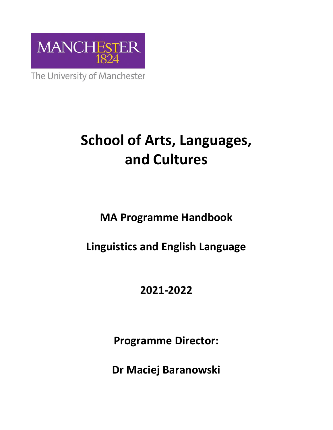

The University of Manchester

# **School of Arts, Languages, and Cultures**

**MA Programme Handbook**

## **Linguistics and English Language**

## **2021-2022**

**Programme Director:**

**Dr Maciej Baranowski**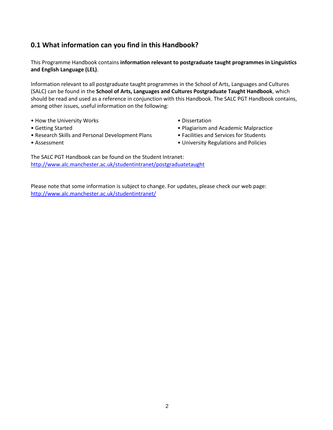#### **0.1 What information can you find in this Handbook?**

This Programme Handbook contains **information relevant to postgraduate taught programmes in Linguistics and English Language (LEL)**.

Information relevant to all postgraduate taught programmes in the School of Arts, Languages and Cultures (SALC) can be found in the **School of Arts, Languages and Cultures Postgraduate Taught Handbook**, which should be read and used as a reference in conjunction with this Handbook. The SALC PGT Handbook contains, among other issues, useful information on the following:

- How the University Works Dissertation
- 
- Research Skills and Personal Development Plans Facilities and Services for Students
- 
- Getting Started Plagiarism and Academic Malpractice
	-
- 
- Assessment **Assessment** University Regulations and Policies

The SALC PGT Handbook can be found on the Student Intranet: <http://www.alc.manchester.ac.uk/studentintranet/postgraduatetaught>

Please note that some information is subject to change. For updates, please check our web page: <http://www.alc.manchester.ac.uk/studentintranet/>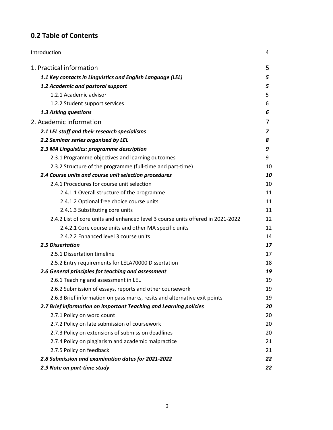### **0.2 Table of Contents**

| Introduction                                                                    | 4  |
|---------------------------------------------------------------------------------|----|
| 1. Practical information                                                        | 5  |
| 1.1 Key contacts in Linguistics and English Language (LEL)                      | 5  |
| 1.2 Academic and pastoral support                                               | 5  |
| 1.2.1 Academic advisor                                                          | 5  |
| 1.2.2 Student support services                                                  | 6  |
| 1.3 Asking questions                                                            | 6  |
| 2. Academic information                                                         | 7  |
| 2.1 LEL staff and their research specialisms                                    | 7  |
| 2.2 Seminar series organized by LEL                                             | 8  |
| 2.3 MA Linguistics: programme description                                       | 9  |
| 2.3.1 Programme objectives and learning outcomes                                | 9  |
| 2.3.2 Structure of the programme (full-time and part-time)                      | 10 |
| 2.4 Course units and course unit selection procedures                           | 10 |
| 2.4.1 Procedures for course unit selection                                      | 10 |
| 2.4.1.1 Overall structure of the programme                                      | 11 |
| 2.4.1.2 Optional free choice course units                                       | 11 |
| 2.4.1.3 Substituting core units                                                 | 11 |
| 2.4.2 List of core units and enhanced level 3 course units offered in 2021-2022 | 12 |
| 2.4.2.1 Core course units and other MA specific units                           | 12 |
| 2.4.2.2 Enhanced level 3 course units                                           | 14 |
| <b>2.5 Dissertation</b>                                                         | 17 |
| 2.5.1 Dissertation timeline                                                     | 17 |
| 2.5.2 Entry requirements for LELA70000 Dissertation                             | 18 |
| 2.6 General principles for teaching and assessment                              | 19 |
| 2.6.1 Teaching and assessment in LEL                                            | 19 |
| 2.6.2 Submission of essays, reports and other coursework                        | 19 |
| 2.6.3 Brief information on pass marks, resits and alternative exit points       | 19 |
| 2.7 Brief information on important Teaching and Learning policies               | 20 |
| 2.7.1 Policy on word count                                                      | 20 |
| 2.7.2 Policy on late submission of coursework                                   | 20 |
| 2.7.3 Policy on extensions of submission deadlines                              | 20 |
| 2.7.4 Policy on plagiarism and academic malpractice                             | 21 |
| 2.7.5 Policy on feedback                                                        | 21 |
| 2.8 Submission and examination dates for 2021-2022                              | 22 |
| 2.9 Note on part-time study                                                     | 22 |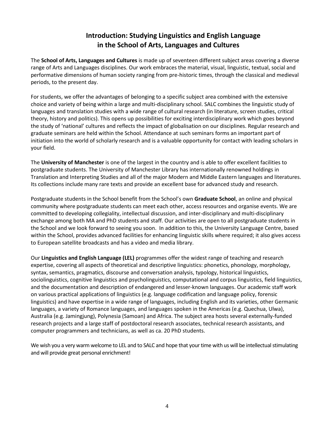#### **Introduction: Studying Linguistics and English Language in the School of Arts, Languages and Cultures**

The **School of Arts, Languages and Cultures** is made up of seventeen different subject areas covering a diverse range of Arts and Languages disciplines. Our work embraces the material, visual, linguistic, textual, social and performative dimensions of human society ranging from pre-historic times, through the classical and medieval periods, to the present day.

For students, we offer the advantages of belonging to a specific subject area combined with the extensive choice and variety of being within a large and multi-disciplinary school. SALC combines the linguistic study of languages and translation studies with a wide range of cultural research (in literature, screen studies, critical theory, history and politics). This opens up possibilities for exciting interdisciplinary work which goes beyond the study of 'national' cultures and reflects the impact of globalisation on our disciplines. Regular research and graduate seminars are held within the School. Attendance at such seminars forms an important part of initiation into the world of scholarly research and is a valuable opportunity for contact with leading scholars in your field.

The **University of Manchester** is one of the largest in the country and is able to offer excellent facilities to postgraduate students. The University of Manchester Library has internationally renowned holdings in Translation and Interpreting Studies and all of the major Modern and Middle Eastern languages and literatures. Its collections include many rare texts and provide an excellent base for advanced study and research.

Postgraduate students in the School benefit from the School's own **Graduate School**, an online and physical community where postgraduate students can meet each other, access resources and organise events. We are committed to developing collegiality, intellectual discussion, and inter-disciplinary and multi-disciplinary exchange among both MA and PhD students and staff. Our activities are open to all postgraduate students in the School and we look forward to seeing you soon. In addition to this, the University Language Centre, based within the School, provides advanced facilities for enhancing linguistic skills where required; it also gives access to European satellite broadcasts and has a video and media library.

Our **Linguistics and English Language (LEL)** programmes offer the widest range of teaching and research expertise, covering all aspects of theoretical and descriptive linguistics: phonetics, phonology, morphology, syntax, semantics, pragmatics, discourse and conversation analysis, typology, historical linguistics, sociolinguistics, cognitive linguistics and psycholinguistics, computational and corpus linguistics, field linguistics, and the documentation and description of endangered and lesser-known languages. Our academic staff work on various practical applications of linguistics (e.g. language codification and language policy, forensic linguistics) and have expertise in a wide range of languages, including English and its varieties, other Germanic languages, a variety of Romance languages, and languages spoken in the Americas (e.g. Quechua, Ulwa), Australia (e.g. Jamingjung), Polynesia (Samoan) and Africa. The subject area hosts several externally-funded research projects and a large staff of postdoctoral research associates, technical research assistants, and computer programmers and technicians, as well as ca. 20 PhD students.

We wish you a very warm welcome to LEL and to SALC and hope that your time with us will be intellectual stimulating and will provide great personal enrichment!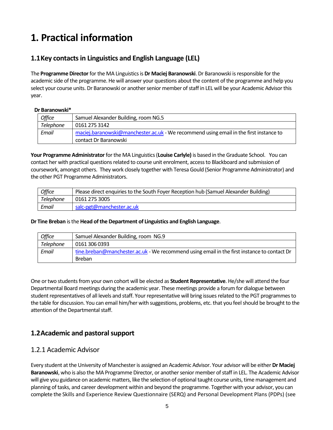## **1. Practical information**

#### **1.1Key contacts in Linguistics and English Language (LEL)**

The **Programme Director**for the MA Linguistics is **Dr Maciej Baranowski**. Dr Baranowski is responsible for the academic side of the programme. He will answer your questions about the content of the programme and help you select your course units. Dr Baranowski or another senior member of staff in LEL will be your Academic Advisor this year.

#### **Dr Baranowski\***

| Office    | Samuel Alexander Building, room NG.5                                                                            |
|-----------|-----------------------------------------------------------------------------------------------------------------|
| Telephone | 0161 275 3142                                                                                                   |
| Email     | maciej.baranowski@manchester.ac.uk - We recommend using email in the first instance to<br>contact Dr Baranowski |

**Your Programme Administrator** for the MA Linguistics (**Louise Carlyle)** is based in the Graduate School. You can contact her with practical questions related to course unit enrolment, access to Blackboard and submission of coursework, amongst others. They work closely together with Teresa Gould (Senior Programme Administrator) and the other PGT Programme Administrators.

| <b>Office</b> | Please direct enquiries to the South Foyer Reception hub (Samuel Alexander Building) |
|---------------|--------------------------------------------------------------------------------------|
| Telephone     | 0161 275 3005                                                                        |
| Email         | salc-pgt@manchester.ac.uk                                                            |

#### **Dr Tine Breban** is the **Head of the Department of Linguistics and English Language**.

| Office    | Samuel Alexander Building, room NG.9                                                        |
|-----------|---------------------------------------------------------------------------------------------|
| Telephone | 0161 306 0393                                                                               |
| Email     | tine.breban@manchester.ac.uk - We recommend using email in the first instance to contact Dr |
|           | <b>Breban</b>                                                                               |

One or two studentsfrom your own cohort will be elected as **Student Representative**. He/she will attend the four Departmental Board meetings during the academic year. These meetings provide a forum for dialogue between student representatives of all levels and staff. Your representative will bring issues related to the PGT programmes to the table for discussion. You can email him/her with suggestions, problems, etc. that you feel should be brought to the attention of the Departmental staff.

#### **1.2Academic and pastoral support**

#### 1.2.1 Academic Advisor

Every student at the University of Manchester is assigned an Academic Advisor. Your advisor will be either **Dr Maciej Baranowski**, who is also the MA Programme Director, or another senior member of staff in LEL. The Academic Advisor will give you guidance on academic matters, like the selection of optional taught course units, time management and planning of tasks, and career development within and beyond the programme. Together with your advisor, you can complete the Skills and Experience Review Questionnaire (SERQ) and Personal Development Plans (PDPs) (see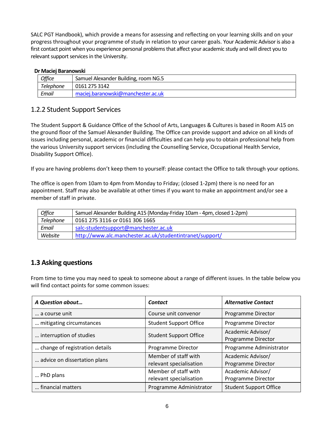SALC PGT Handbook), which provide a means for assessing and reflecting on your learning skills and on your progress throughout your programme of study in relation to your career goals. Your Academic Advisor is also a first contact point when you experience personal problems that affect your academic study and will direct you to relevant support services in the University.

#### **Dr Maciej Baranowski**

| <b>Office</b>    | Samuel Alexander Building, room NG.5 |
|------------------|--------------------------------------|
| <b>Telephone</b> | 0161 275 3142                        |
| Email            | maciej.baranowski@manchester.ac.uk   |

#### 1.2.2 Student Support Services

The Student Support & Guidance Office of the School of Arts, Languages & Cultures is based in Room A15 on the ground floor of the Samuel Alexander Building. The Office can provide support and advice on all kinds of issues including personal, academic or financial difficulties and can help you to obtain professional help from the various University support services (including the Counselling Service, Occupational Health Service, Disability Support Office).

If you are having problems don't keep them to yourself: please contact the Office to talk through your options.

The office is open from 10am to 4pm from Monday to Friday; (closed 1-2pm) there is no need for an appointment. Staff may also be available at other times if you want to make an appointment and/or see a member of staff in private.

| <b>Office</b> | Samuel Alexander Building A15 (Monday-Friday 10am - 4pm, closed 1-2pm) |
|---------------|------------------------------------------------------------------------|
| Telephone     | 0161 275 3116 or 0161 306 1665                                         |
| Email         | salc-studentsupport@manchester.ac.uk                                   |
| Website       | http://www.alc.manchester.ac.uk/studentintranet/support/               |

#### **1.3 Asking questions**

From time to time you may need to speak to someone about a range of different issues. In the table below you will find contact points for some common issues:

| A Question about               | Contact                                         | <b>Alternative Contact</b>              |
|--------------------------------|-------------------------------------------------|-----------------------------------------|
| a course unit                  | Course unit convenor                            | Programme Director                      |
| mitigating circumstances       | <b>Student Support Office</b>                   | Programme Director                      |
| interruption of studies        | <b>Student Support Office</b>                   | Academic Advisor/<br>Programme Director |
| change of registration details | Programme Director                              | Programme Administrator                 |
| advice on dissertation plans   | Member of staff with<br>relevant specialisation | Academic Advisor/<br>Programme Director |
| PhD plans                      | Member of staff with<br>relevant specialisation | Academic Advisor/<br>Programme Director |
| financial matters              | Programme Administrator                         | <b>Student Support Office</b>           |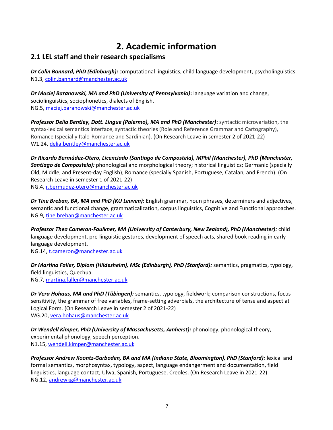## **2. Academic information**

#### **2.1 LEL staff and their research specialisms**

*Dr Colin Bannard, PhD (Edinburgh):* computational linguistics, child language development, psycholinguistics. N1.3, [colin.bannard@manchester.ac.uk](mailto:colin.bannard@manchester.ac.uk)

*Dr Maciej Baranowski, MA and PhD (University of Pennsylvania)***:** language variation and change, sociolinguistics, sociophonetics, dialects of English. NG.5, [maciej.baranowski@manchester.ac.uk](mailto:maciej.baranowski@manchester.ac.uk)

*Professor Delia Bentley, Dott. Lingue (Palermo), MA and PhD (Manchester)***:** syntactic microvariation, the syntax-lexical semantics interface, syntactic theories (Role and Reference Grammar and Cartography), Romance (specially Italo-Romance and Sardinian). (On Research Leave in semester 2 of 2021-22) W1.24, [delia.bentley@manchester.ac.uk](mailto:delia.bentley@manchester.ac.uk)

*Dr Ricardo Bermúdez-Otero, Licenciado (Santiago de Compostela), MPhil (Manchester), PhD (Manchester, Santiago de Compostela):* phonological and morphological theory; historical linguistics; Germanic (specially Old, Middle, and Present-day English); Romance (specially Spanish, Portuguese, Catalan, and French). (On Research Leave in semester 1 of 2021-22) NG.4, [r.bermudez-otero@manchester.ac.uk](mailto:r.bermudez-otero@manchester.ac.uk)

*Dr Tine Breban, BA, MA and PhD (KU Leuven)***:** English grammar, noun phrases, determiners and adjectives, semantic and functional change, grammaticalization, corpus linguistics, Cognitive and Functional approaches. NG.9, [tine.breban@manchester.ac.uk](mailto:tine.breban@manchester.ac.uk)

*Professor Thea Cameron-Faulkner, MA (University of Canterbury, New Zealand), PhD (Manchester):* child language development, pre-linguistic gestures, development of speech acts, shared book reading in early language development.

NG.14, [t.cameron@manchester.ac.uk](mailto:t.cameron@manchester.ac.uk)

*Dr Martina Faller, Diplom (Hildesheim), MSc (Edinburgh), PhD (Stanford):* semantics, pragmatics, typology, field linguistics, Quechua. NG.7, [martina.faller@manchester.ac.uk](mailto:martina.faller@manchester.ac.uk)

*Dr Vera Hohaus, MA and PhD (Tübingen):* semantics, typology, fieldwork; comparison constructions, focus sensitivity, the grammar of free variables, frame-setting adverbials, the architecture of tense and aspect at Logical Form. (On Research Leave in semester 2 of 2021-22) WG.20[, vera.hohaus@manchester.ac.uk](mailto:vera.hohaus@manchester.ac.uk)

*Dr Wendell Kimper, PhD (University of Massachusetts, Amherst):* phonology, phonological theory, experimental phonology, speech perception. N1.15[, wendell.kimper@manchester.ac.uk](mailto:wendell.kimper@manchester.ac.uk)

*Professor Andrew Koontz-Garboden, BA and MA (Indiana State, Bloomington), PhD (Stanford):* lexical and formal semantics, morphosyntax, typology, aspect, language endangerment and documentation, field linguistics, language contact; Ulwa, Spanish, Portuguese, Creoles. (On Research Leave in 2021-22) NG.12, [andrewkg@manchester.ac.uk](mailto:andrewkg@manchester.ac.uk)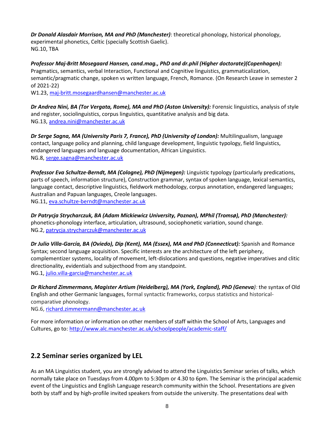*Dr Donald Alasdair Morrison, MA and PhD (Manchester)*: theoretical phonology, historical phonology, experimental phonetics, Celtic (specially Scottish Gaelic). NG.10, TBA

*Professor Maj-Britt Mosegaard Hansen, cand.mag., PhD and dr.phil (Higher doctorate)(Copenhagen):* Pragmatics, semantics, verbal Interaction, Functional and Cognitive linguistics, grammaticalization, semantic/pragmatic change, spoken vs written language, French, Romance. (On Research Leave in semester 2 of 2021-22)

W1.23, [maj-britt.mosegaardhansen@manchester.ac.uk](mailto:maj-britt.mosegaardhansen@manchester.ac.uk)

*Dr Andrea Nini, BA (Tor Vergata, Rome), MA and PhD (Aston University):* Forensic linguistics, analysis of style and register, sociolinguistics, corpus linguistics, quantitative analysis and big data. NG.13, [andrea.nini@manchester.ac.uk](mailto:andrea.nini@manchester.ac.uk)

*Dr Serge Sagna, MA (University Paris 7, France), PhD (University of London):* Multilingualism, language contact, language policy and planning, child language development, linguistic typology, field linguistics, endangered languages and language documentation, African Linguistics. NG.8, [serge.sagna@manchester.ac.uk](mailto:serge.sagna@manchester.ac.uk)

*Professor Eva Schultze-Berndt, MA (Cologne), PhD (Nijmegen):* Linguistic typology (particularly predications, parts of speech, information structure), Construction grammar, syntax of spoken language, lexical semantics, language contact, descriptive linguistics, fieldwork methodology, corpus annotation, endangered languages; Australian and Papuan languages, Creole languages. NG.11, [eva.schultze-berndt@manchester.ac.uk](mailto:eva.schultze-berndt@manchester.ac.uk)

*Dr Patrycja Strycharczuk, BA (Adam Mickiewicz University, Poznan), MPhil (Tromsø), PhD (Manchester):*  phonetics-phonology interface, articulation, ultrasound, sociophonetic variation, sound change. NG.2, [patrycja.strycharczuk@manchester.ac.uk](mailto:patrycja.strycharczuk@manchester.ac.uk)

*Dr Julio Villa-García, BA (Oviedo), Dip (Kent), MA (Essex), MA and PhD (Connecticut):* Spanish and Romance Syntax; second language acquisition. Specific interests are the architecture of the left periphery, complementizer systems, locality of movement, left-dislocations and questions, negative imperatives and clitic directionality, evidentials and subjecthood from any standpoint. NG.1, [julio.villa-garcia@manchester.ac.uk](mailto:julio.villa-garcia@manchester.ac.uk)

*Dr Richard Zimmermann, Magister Artium (Heidelberg), MA (York, England), PhD (Geneva):* the syntax of Old English and other Germanic languages, formal syntactic frameworks, corpus statistics and historicalcomparative phonology.

NG.6, [richard.zimmermann@manchester.ac.uk](mailto:richard.zimmermann@manchester.ac.uk)

For more information or information on other members of staff within the School of Arts, Languages and Cultures, go to[: http://www.alc.manchester.ac.uk/schoolpeople/academic-staff/](http://www.alc.manchester.ac.uk/schoolpeople/academic-staff/)

#### **2.2 Seminar series organized by LEL**

As an MA Linguistics student, you are strongly advised to attend the Linguistics Seminar series of talks, which normally take place on Tuesdays from 4.00pm to 5:30pm or 4.30 to 6pm. The Seminar is the principal academic event of the Linguistics and English Language research community within the School. Presentations are given both by staff and by high-profile invited speakers from outside the university. The presentations deal with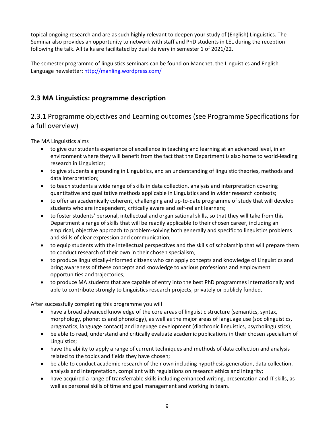topical ongoing research and are as such highly relevant to deepen your study of (English) Linguistics. The Seminar also provides an opportunity to network with staff and PhD students in LEL during the reception following the talk. All talks are facilitated by dual delivery in semester 1 of 2021/22.

The semester programme of linguistics seminars can be found on Manchet, the Linguistics and English Language newsletter: <http://manling.wordpress.com/>

#### **2.3 MA Linguistics: programme description**

#### 2.3.1 Programme objectives and Learning outcomes (see Programme Specifications for a full overview)

The MA Linguistics aims

- to give our students experience of excellence in teaching and learning at an advanced level, in an environment where they will benefit from the fact that the Department is also home to world-leading research in Linguistics;
- to give students a grounding in Linguistics, and an understanding of linguistic theories, methods and data interpretation;
- to teach students a wide range of skills in data collection, analysis and interpretation covering quantitative and qualitative methods applicable in Linguistics and in wider research contexts;
- to offer an academically coherent, challenging and up-to-date programme of study that will develop students who are independent, critically aware and self-reliant learners;
- to foster students' personal, intellectual and organisational skills, so that they will take from this Department a range of skills that will be readily applicable to their chosen career, including an empirical, objective approach to problem-solving both generally and specific to linguistics problems and skills of clear expression and communication;
- to equip students with the intellectual perspectives and the skills of scholarship that will prepare them to conduct research of their own in their chosen specialism;
- to produce linguistically-informed citizens who can apply concepts and knowledge of Linguistics and bring awareness of these concepts and knowledge to various professions and employment opportunities and trajectories;
- to produce MA students that are capable of entry into the best PhD programmes internationally and able to contribute strongly to Linguistics research projects, privately or publicly funded.

After successfully completing this programme you will

- have a broad advanced knowledge of the core areas of linguistic structure (semantics, syntax, morphology, phonetics and phonology), as well as the major areas of language use (sociolinguistics, pragmatics, language contact) and language development (diachronic linguistics, psycholinguistics);
- be able to read, understand and critically evaluate academic publications in their chosen specialism of Linguistics;
- have the ability to apply a range of current techniques and methods of data collection and analysis related to the topics and fields they have chosen;
- be able to conduct academic research of their own including hypothesis generation, data collection, analysis and interpretation, compliant with regulations on research ethics and integrity;
- have acquired a range of transferrable skills including enhanced writing, presentation and IT skills, as well as personal skills of time and goal management and working in team.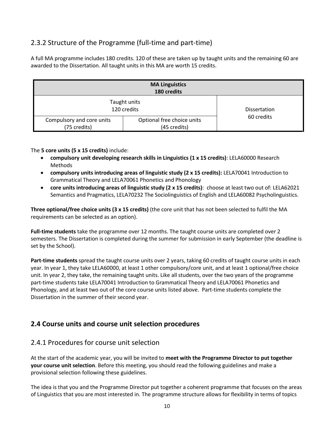#### 2.3.2 Structure of the Programme (full-time and part-time)

A full MA programme includes 180 credits. 120 of these are taken up by taught units and the remaining 60 are awarded to the Dissertation. All taught units in this MA are worth 15 credits.

| <b>MA Linguistics</b><br>180 credits      |                                            |                     |
|-------------------------------------------|--------------------------------------------|---------------------|
| Taught units<br>120 credits               |                                            | <b>Dissertation</b> |
| Compulsory and core units<br>(75 credits) | Optional free choice units<br>(45 credits) | 60 credits          |

The **5 core units (5 x 15 credits)** include:

- **compulsory unit developing research skills in Linguistics (1 x 15 credits)**: LELA60000 Research Methods
- **compulsory units introducing areas of linguistic study (2 x 15 credits):** LELA70041 Introduction to Grammatical Theory and LELA70061 Phonetics and Phonology
- **core units introducing areas of linguistic study (2 x 15 credits)**: choose at least two out of: LELA62021 Semantics and Pragmatics, LELA70232 The Sociolinguistics of English and LELA60082 Psycholinguistics.

**Three optional/free choice units (3 x 15 credits)** (the core unit that has not been selected to fulfil the MA requirements can be selected as an option).

**Full-time students** take the programme over 12 months. The taught course units are completed over 2 semesters. The Dissertation is completed during the summer for submission in early September (the deadline is set by the School).

**Part-time students** spread the taught course units over 2 years, taking 60 credits of taught course units in each year. In year 1, they take LELA60000, at least 1 other compulsory/core unit, and at least 1 optional/free choice unit. In year 2, they take, the remaining taught units. Like all students, over the two years of the programme part-time students take LELA70041 Introduction to Grammatical Theory and LELA70061 Phonetics and Phonology, and at least two out of the core course units listed above. Part-time students complete the Dissertation in the summer of their second year.

#### **2.4 Course units and course unit selection procedures**

#### 2.4.1 Procedures for course unit selection

At the start of the academic year, you will be invited to **meet with the Programme Director to put together your course unit selection**. Before this meeting, you should read the following guidelines and make a provisional selection following these guidelines.

The idea is that you and the Programme Director put together a coherent programme that focuses on the areas of Linguistics that you are most interested in. The programme structure allows for flexibility in terms of topics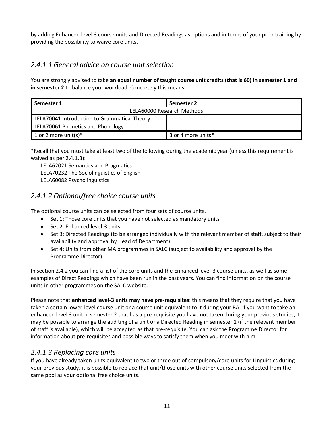by adding Enhanced level 3 course units and Directed Readings as options and in terms of your prior training by providing the possibility to waive core units.

#### *2.4.1.1 General advice on course unit selection*

You are strongly advised to take **an equal number of taught course unit credits (that is 60) in semester 1 and in semester 2** to balance your workload. Concretely this means:

| Semester 1                                   | Semester 2         |  |
|----------------------------------------------|--------------------|--|
| LELA60000 Research Methods                   |                    |  |
| LELA70041 Introduction to Grammatical Theory |                    |  |
| <b>LELA70061 Phonetics and Phonology</b>     |                    |  |
| 1 or 2 more unit(s)*                         | 3 or 4 more units* |  |

\*Recall that you must take at least two of the following during the academic year (unless this requirement is waived as per 2.4.1.3):

LELA62021 Semantics and Pragmatics LELA70232 The Sociolinguistics of English LELA60082 Psycholinguistics

#### *2.4.1.2 Optional/free choice course units*

The optional course units can be selected from four sets of course units.

- Set 1: Those core units that you have not selected as mandatory units
- Set 2: Enhanced level-3 units
- Set 3: Directed Readings (to be arranged individually with the relevant member of staff, subject to their availability and approval by Head of Department)
- Set 4: Units from other MA programmes in SALC (subject to availability and approval by the Programme Director)

In section 2.4.2 you can find a list of the core units and the Enhanced level-3 course units, as well as some examples of Direct Readings which have been run in the past years. You can find information on the course units in other programmes on the SALC website.

Please note that **enhanced level-3 units may have pre-requisites**: this means that they require that you have taken a certain lower-level course unit or a course unit equivalent to it during your BA. If you want to take an enhanced level 3 unit in semester 2 that has a pre-requisite you have not taken during your previous studies, it may be possible to arrange the auditing of a unit or a Directed Reading in semester 1 (if the relevant member of staff is available), which will be accepted as that pre-requisite. You can ask the Programme Director for information about pre-requisites and possible ways to satisfy them when you meet with him.

#### *2.4.1.3 Replacing core units*

If you have already taken units equivalent to two or three out of compulsory/core units for Linguistics during your previous study, it is possible to replace that unit/those units with other course units selected from the same pool as your optional free choice units.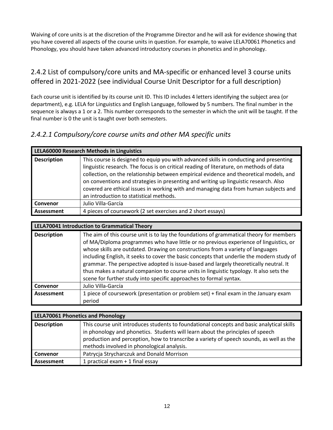Waiving of core units is at the discretion of the Programme Director and he will ask for evidence showing that you have covered all aspects of the course units in question. For example, to waive LELA70061 Phonetics and Phonology, you should have taken advanced introductory courses in phonetics and in phonology.

### 2.4.2 List of compulsory/core units and MA-specific or enhanced level 3 course units offered in 2021-2022 (see individual Course Unit Descriptor for a full description)

Each course unit is identified by its course unit ID. This ID includes 4 letters identifying the subject area (or department), e.g. LELA for Linguistics and English Language, followed by 5 numbers. The final number in the sequence is always a 1 or a 2. This number corresponds to the semester in which the unit will be taught. If the final number is 0 the unit is taught over both semesters.

#### *2.4.2.1 Compulsory/core course units and other MA specific units*

| LELA60000 Research Methods in Linguistics |                                                                                                                                                                                                                                                                                                                                                                                                                                                                                                        |
|-------------------------------------------|--------------------------------------------------------------------------------------------------------------------------------------------------------------------------------------------------------------------------------------------------------------------------------------------------------------------------------------------------------------------------------------------------------------------------------------------------------------------------------------------------------|
| <b>Description</b>                        | This course is designed to equip you with advanced skills in conducting and presenting<br>linguistic research. The focus is on critical reading of literature, on methods of data<br>collection, on the relationship between empirical evidence and theoretical models, and<br>on conventions and strategies in presenting and writing up linguistic research. Also<br>covered are ethical issues in working with and managing data from human subjects and<br>an introduction to statistical methods. |
| Convenor                                  | Julio Villa-García                                                                                                                                                                                                                                                                                                                                                                                                                                                                                     |
| Assessment                                | 4 pieces of coursework (2 set exercises and 2 short essays)                                                                                                                                                                                                                                                                                                                                                                                                                                            |

| <b>LELA70041 Introduction to Grammatical Theory</b> |                                                                                                                                                                                                                                                                                                                                                                                                                                                                                                                                                      |  |
|-----------------------------------------------------|------------------------------------------------------------------------------------------------------------------------------------------------------------------------------------------------------------------------------------------------------------------------------------------------------------------------------------------------------------------------------------------------------------------------------------------------------------------------------------------------------------------------------------------------------|--|
| <b>Description</b>                                  | The aim of this course unit is to lay the foundations of grammatical theory for members<br>of MA/Diploma programmes who have little or no previous experience of linguistics, or<br>whose skills are outdated. Drawing on constructions from a variety of languages<br>including English, it seeks to cover the basic concepts that underlie the modern study of<br>grammar. The perspective adopted is issue-based and largely theoretically neutral. It<br>thus makes a natural companion to course units in linguistic typology. It also sets the |  |

|            | scene for further study into specific approaches to formal syntax.                   |  |
|------------|--------------------------------------------------------------------------------------|--|
| l Convenor | Julio Villa-García                                                                   |  |
| Assessment | 1 piece of coursework (presentation or problem set) + final exam in the January exam |  |
|            | period                                                                               |  |

| <b>LELA70061 Phonetics and Phonology</b> |                                                                                                                                                                                                                                                                                                                      |
|------------------------------------------|----------------------------------------------------------------------------------------------------------------------------------------------------------------------------------------------------------------------------------------------------------------------------------------------------------------------|
| <b>Description</b>                       | This course unit introduces students to foundational concepts and basic analytical skills<br>in phonology and phonetics. Students will learn about the principles of speech<br>production and perception, how to transcribe a variety of speech sounds, as well as the<br>methods involved in phonological analysis. |
| l Convenor                               | Patrycja Strycharczuk and Donald Morrison                                                                                                                                                                                                                                                                            |
| Assessment                               | 1 practical exam + 1 final essay                                                                                                                                                                                                                                                                                     |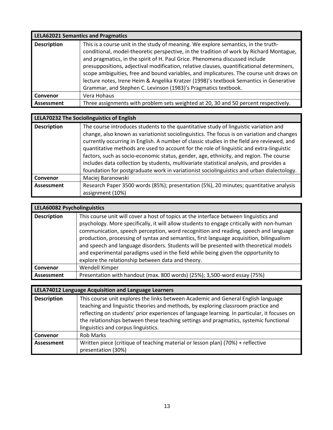| <b>LELA62021 Semantics and Pragmatics</b> |                                                                                                                                                                                                                                                                                                                                                                                                                                                                                                                                                                                                                  |
|-------------------------------------------|------------------------------------------------------------------------------------------------------------------------------------------------------------------------------------------------------------------------------------------------------------------------------------------------------------------------------------------------------------------------------------------------------------------------------------------------------------------------------------------------------------------------------------------------------------------------------------------------------------------|
| <b>Description</b>                        | This is a course unit in the study of meaning. We explore semantics, in the truth-<br>conditional, model-theoretic perspective, in the tradition of work by Richard Montague,<br>and pragmatics, in the spirit of H. Paul Grice. Phenomena discussed include<br>presuppositions, adjectival modification, relative clauses, quantificational determiners,<br>scope ambiguities, free and bound variables, and implicatures. The course unit draws on<br>lecture notes, Irene Heim & Angelika Kratzer (1998)'s textbook Semantics in Generative<br>Grammar, and Stephen C. Levinson (1983)'s Pragmatics textbook. |
| Convenor                                  | Vera Hohaus                                                                                                                                                                                                                                                                                                                                                                                                                                                                                                                                                                                                      |
| <b>Assessment</b>                         | Three assignments with problem sets weighted at 20, 30 and 50 percent respectively.                                                                                                                                                                                                                                                                                                                                                                                                                                                                                                                              |

| LELA70232 The Sociolinguistics of English |                                                                                                                                                                                                                                                                                                                                                                                                                                                                                                                                                                                                                                                                |
|-------------------------------------------|----------------------------------------------------------------------------------------------------------------------------------------------------------------------------------------------------------------------------------------------------------------------------------------------------------------------------------------------------------------------------------------------------------------------------------------------------------------------------------------------------------------------------------------------------------------------------------------------------------------------------------------------------------------|
| <b>Description</b>                        | The course introduces students to the quantitative study of linguistic variation and<br>change, also known as variationist sociolinguistics. The focus is on variation and changes<br>currently occurring in English. A number of classic studies in the field are reviewed, and<br>quantitative methods are used to account for the role of linguistic and extra-linguistic<br>factors, such as socio-economic status, gender, age, ethnicity, and region. The course<br>includes data collection by students, multivariate statistical analysis, and provides a<br>foundation for postgraduate work in variationist sociolinguistics and urban dialectology. |
| Convenor                                  | Maciej Baranowski                                                                                                                                                                                                                                                                                                                                                                                                                                                                                                                                                                                                                                              |
| Assessment                                | Research Paper 3500 words (85%); presentation (5%), 20 minutes; quantitative analysis<br>assignment (10%)                                                                                                                                                                                                                                                                                                                                                                                                                                                                                                                                                      |

| LELA60082 Psycholinguistics |                                                                                                                                                                                                                                                                                                                                                                                                                                                                                                                                                                                                          |
|-----------------------------|----------------------------------------------------------------------------------------------------------------------------------------------------------------------------------------------------------------------------------------------------------------------------------------------------------------------------------------------------------------------------------------------------------------------------------------------------------------------------------------------------------------------------------------------------------------------------------------------------------|
| <b>Description</b>          | This course unit will cover a host of topics at the interface between linguistics and<br>psychology. More specifically, it will allow students to engage critically with non-human<br>communication, speech perception, word recognition and reading, speech and language<br>production, processing of syntax and semantics, first language acquisition, bilingualism<br>and speech and language disorders. Students will be presented with theoretical models<br>and experimental paradigms used in the field while being given the opportunity to<br>explore the relationship between data and theory. |
| Convenor                    | Wendell Kimper                                                                                                                                                                                                                                                                                                                                                                                                                                                                                                                                                                                           |
| Assessment                  | Presentation with handout (max. 800 words) (25%); 3,500-word essay (75%)                                                                                                                                                                                                                                                                                                                                                                                                                                                                                                                                 |

| LELA74012 Language Acquisition and Language Learners |                                                                                                                                                                                                                                                                                                                                                                                                        |
|------------------------------------------------------|--------------------------------------------------------------------------------------------------------------------------------------------------------------------------------------------------------------------------------------------------------------------------------------------------------------------------------------------------------------------------------------------------------|
| <b>Description</b>                                   | This course unit explores the links between Academic and General English language<br>teaching and linguistic theories and methods, by exploring classroom practice and<br>reflecting on students' prior experiences of language learning. In particular, it focuses on<br>the relationships between these teaching settings and pragmatics, systemic functional<br>linguistics and corpus linguistics. |
| Convenor                                             | <b>Rob Marks</b>                                                                                                                                                                                                                                                                                                                                                                                       |
| Assessment                                           | Written piece (critique of teaching material or lesson plan) (70%) + reflective<br>presentation (30%)                                                                                                                                                                                                                                                                                                  |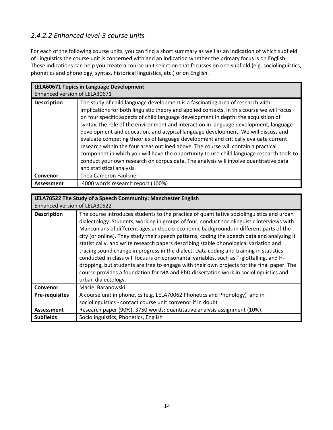### *2.4.2.2 Enhanced level-3 course units*

For each of the following course units, you can find a short summary as well as an indication of which subfield of Linguistics the course unit is concerned with and an indication whether the primary focus is on English. These indications can help you create a course unit selection that focusses on one subfield (e.g. sociolinguistics, phonetics and phonology, syntax, historical linguistics, etc.) or on English.

| LELA60671 Topics in Language Development |                                                                                                                                                                                                                                                                                                                                                                                                                                                                                                                                                                                                                                                                                                                                                                                                                                                  |
|------------------------------------------|--------------------------------------------------------------------------------------------------------------------------------------------------------------------------------------------------------------------------------------------------------------------------------------------------------------------------------------------------------------------------------------------------------------------------------------------------------------------------------------------------------------------------------------------------------------------------------------------------------------------------------------------------------------------------------------------------------------------------------------------------------------------------------------------------------------------------------------------------|
| Enhanced version of LELA30671            |                                                                                                                                                                                                                                                                                                                                                                                                                                                                                                                                                                                                                                                                                                                                                                                                                                                  |
| <b>Description</b>                       | The study of child language development is a fascinating area of research with<br>implications for both linguistic theory and applied contexts. In this course we will focus<br>on four specific aspects of child language development in depth: the acquisition of<br>syntax, the role of the environment and interaction in language development, language<br>development and education, and atypical language development. We will discuss and<br>evaluate competing theories of language development and critically evaluate current<br>research within the four areas outlined above. The course will contain a practical<br>component in which you will have the opportunity to use child language research tools to<br>conduct your own research on corpus data. The analysis will involve quantitative data<br>and statistical analysis. |
| Convenor                                 | Thea Cameron Faulkner                                                                                                                                                                                                                                                                                                                                                                                                                                                                                                                                                                                                                                                                                                                                                                                                                            |
| <b>Assessment</b>                        | 4000 words research report (100%)                                                                                                                                                                                                                                                                                                                                                                                                                                                                                                                                                                                                                                                                                                                                                                                                                |

### **LELA70522 The Study of a Speech Community: Manchester English**

| Enhanced version of LELA30522 |                                                                                                                                                                                                                                                                                                                                                                                                                                                                                                                                                                                                                                                                                                                                                                                                                                                                               |
|-------------------------------|-------------------------------------------------------------------------------------------------------------------------------------------------------------------------------------------------------------------------------------------------------------------------------------------------------------------------------------------------------------------------------------------------------------------------------------------------------------------------------------------------------------------------------------------------------------------------------------------------------------------------------------------------------------------------------------------------------------------------------------------------------------------------------------------------------------------------------------------------------------------------------|
| <b>Description</b>            | The course introduces students to the practice of quantitative sociolinguistics and urban<br>dialectology. Students, working in groups of four, conduct sociolinguistic interviews with<br>Mancunians of different ages and socio-economic backgrounds in different parts of the<br>city (or online). They study their speech patterns, coding the speech data and analysing it<br>statistically, and write research papers describing stable phonological variation and<br>tracing sound change in progress in the dialect. Data coding and training in statistics<br>conducted in class will focus is on consonantal variables, such as T-glottalling, and H-<br>dropping, but students are free to engage with their own projects for the final paper. The<br>course provides a foundation for MA and PhD dissertation work in sociolinguistics and<br>urban dialectology. |
| <b>Convenor</b>               | Maciej Baranowski                                                                                                                                                                                                                                                                                                                                                                                                                                                                                                                                                                                                                                                                                                                                                                                                                                                             |
| <b>Pre-requisites</b>         | A course unit in phonetics (e.g. LELA70062 Phonetics and Phonology) and in                                                                                                                                                                                                                                                                                                                                                                                                                                                                                                                                                                                                                                                                                                                                                                                                    |
|                               | sociolinguistics - contact course unit convenor if in doubt                                                                                                                                                                                                                                                                                                                                                                                                                                                                                                                                                                                                                                                                                                                                                                                                                   |
| Assessment                    | Research paper (90%), 3750 words; quantitative analysis assignment (10%).                                                                                                                                                                                                                                                                                                                                                                                                                                                                                                                                                                                                                                                                                                                                                                                                     |
| <b>Subfields</b>              | Sociolinguistics, Phonetics, English                                                                                                                                                                                                                                                                                                                                                                                                                                                                                                                                                                                                                                                                                                                                                                                                                                          |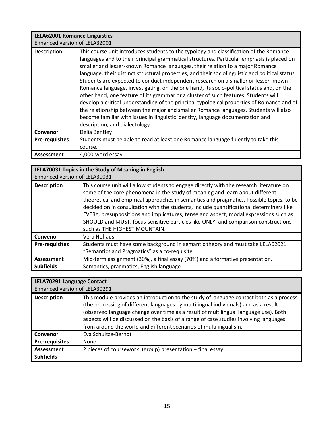## **LELA62001 Romance Linguistics**

| Enhanced version of LELA32001 |                                                                                                                                                                                                                                                                                                                                                                                                                                                                                                                                                                                                                                                                                                                                                                                                                                                                                                                                                            |
|-------------------------------|------------------------------------------------------------------------------------------------------------------------------------------------------------------------------------------------------------------------------------------------------------------------------------------------------------------------------------------------------------------------------------------------------------------------------------------------------------------------------------------------------------------------------------------------------------------------------------------------------------------------------------------------------------------------------------------------------------------------------------------------------------------------------------------------------------------------------------------------------------------------------------------------------------------------------------------------------------|
| Description                   | This course unit introduces students to the typology and classification of the Romance<br>languages and to their principal grammatical structures. Particular emphasis is placed on<br>smaller and lesser-known Romance languages, their relation to a major Romance<br>language, their distinct structural properties, and their sociolinguistic and political status.<br>Students are expected to conduct independent research on a smaller or lesser-known<br>Romance language, investigating, on the one hand, its socio-political status and, on the<br>other hand, one feature of its grammar or a cluster of such features. Students will<br>develop a critical understanding of the principal typological properties of Romance and of<br>the relationship between the major and smaller Romance languages. Students will also<br>become familiar with issues in linguistic identity, language documentation and<br>description, and dialectology. |
| Convenor                      | Delia Bentley                                                                                                                                                                                                                                                                                                                                                                                                                                                                                                                                                                                                                                                                                                                                                                                                                                                                                                                                              |
| <b>Pre-requisites</b>         | Students must be able to read at least one Romance language fluently to take this                                                                                                                                                                                                                                                                                                                                                                                                                                                                                                                                                                                                                                                                                                                                                                                                                                                                          |
|                               | course.                                                                                                                                                                                                                                                                                                                                                                                                                                                                                                                                                                                                                                                                                                                                                                                                                                                                                                                                                    |
| <b>Assessment</b>             | 4,000-word essay                                                                                                                                                                                                                                                                                                                                                                                                                                                                                                                                                                                                                                                                                                                                                                                                                                                                                                                                           |

### **LELA70031 Topics in the Study of Meaning in English**

| Enhanced version of LELA30031 |                                                                                                                                                                                                                                                                                                                                                                                                                                                                                                                                                                               |
|-------------------------------|-------------------------------------------------------------------------------------------------------------------------------------------------------------------------------------------------------------------------------------------------------------------------------------------------------------------------------------------------------------------------------------------------------------------------------------------------------------------------------------------------------------------------------------------------------------------------------|
| <b>Description</b>            | This course unit will allow students to engage directly with the research literature on<br>some of the core phenomena in the study of meaning and learn about different<br>theoretical and empirical approaches in semantics and pragmatics. Possible topics, to be<br>decided on in consultation with the students, include quantificational determiners like<br>EVERY, presuppositions and implicatures, tense and aspect, modal expressions such as<br>SHOULD and MUST, focus-sensitive particles like ONLY, and comparison constructions<br>such as THE HIGHEST MOUNTAIN. |
| Convenor                      | Vera Hohaus                                                                                                                                                                                                                                                                                                                                                                                                                                                                                                                                                                   |
| <b>Pre-requisites</b>         | Students must have some background in semantic theory and must take LELA62021<br>"Semantics and Pragmatics" as a co-requisite                                                                                                                                                                                                                                                                                                                                                                                                                                                 |
| Assessment                    | Mid-term assignment (30%), a final essay (70%) and a formative presentation.                                                                                                                                                                                                                                                                                                                                                                                                                                                                                                  |
| <b>Subfields</b>              | Semantics, pragmatics, English language                                                                                                                                                                                                                                                                                                                                                                                                                                                                                                                                       |

### **LELA70291 Language Contact**

| the company of the company of the company of | 北京 しょうしょう オートアーティング きょうし |
|----------------------------------------------|--------------------------|
| Enhanced version of LELA30291                |                          |

| <b>Description</b>    | This module provides an introduction to the study of language contact both as a process<br>(the processing of different languages by multilingual individuals) and as a result<br>(observed language change over time as a result of multilingual language use). Both<br>aspects will be discussed on the basis of a range of case studies involving languages |
|-----------------------|----------------------------------------------------------------------------------------------------------------------------------------------------------------------------------------------------------------------------------------------------------------------------------------------------------------------------------------------------------------|
|                       | from around the world and different scenarios of multilingualism.                                                                                                                                                                                                                                                                                              |
| Convenor              | Eva Schultze-Berndt                                                                                                                                                                                                                                                                                                                                            |
| <b>Pre-requisites</b> | <b>None</b>                                                                                                                                                                                                                                                                                                                                                    |
| Assessment            | 2 pieces of coursework: (group) presentation + final essay                                                                                                                                                                                                                                                                                                     |
| <b>Subfields</b>      |                                                                                                                                                                                                                                                                                                                                                                |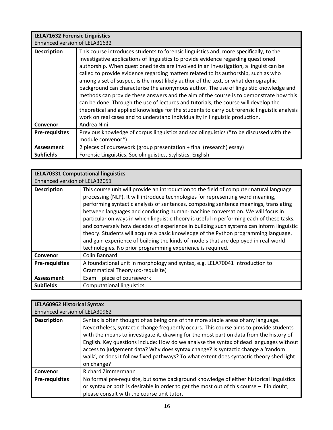| <b>LELA71632 Forensic Linguistics</b><br>Enhanced version of LELA31632 |                                                                                                                                                                                                                                                                                                                                                                                                                                                                                                                                                                                                                                                                                                                                                                                                                                                                                                             |
|------------------------------------------------------------------------|-------------------------------------------------------------------------------------------------------------------------------------------------------------------------------------------------------------------------------------------------------------------------------------------------------------------------------------------------------------------------------------------------------------------------------------------------------------------------------------------------------------------------------------------------------------------------------------------------------------------------------------------------------------------------------------------------------------------------------------------------------------------------------------------------------------------------------------------------------------------------------------------------------------|
| <b>Description</b>                                                     | This course introduces students to forensic linguistics and, more specifically, to the<br>investigative applications of linguistics to provide evidence regarding questioned<br>authorship. When questioned texts are involved in an investigation, a linguist can be<br>called to provide evidence regarding matters related to its authorship, such as who<br>among a set of suspect is the most likely author of the text, or what demographic<br>background can characterise the anonymous author. The use of linguistic knowledge and<br>methods can provide these answers and the aim of the course is to demonstrate how this<br>can be done. Through the use of lectures and tutorials, the course will develop the<br>theoretical and applied knowledge for the students to carry out forensic linguistic analysis<br>work on real cases and to understand individuality in linguistic production. |
| Convenor                                                               | Andrea Nini                                                                                                                                                                                                                                                                                                                                                                                                                                                                                                                                                                                                                                                                                                                                                                                                                                                                                                 |
| <b>Pre-requisites</b>                                                  | Previous knowledge of corpus linguistics and sociolinguistics (*to be discussed with the                                                                                                                                                                                                                                                                                                                                                                                                                                                                                                                                                                                                                                                                                                                                                                                                                    |
|                                                                        | module convenor*)                                                                                                                                                                                                                                                                                                                                                                                                                                                                                                                                                                                                                                                                                                                                                                                                                                                                                           |
| <b>Assessment</b>                                                      | 2 pieces of coursework (group presentation + final (research) essay)                                                                                                                                                                                                                                                                                                                                                                                                                                                                                                                                                                                                                                                                                                                                                                                                                                        |
| <b>Subfields</b>                                                       | Forensic Linguistics, Sociolinguistics, Stylistics, English                                                                                                                                                                                                                                                                                                                                                                                                                                                                                                                                                                                                                                                                                                                                                                                                                                                 |

| <b>LELA70331 Computational linguistics</b> |                                                                                                                                                                                                                                                                                                                                                                                                                                                                                                                                                                                                                                                                                                                                                                                          |  |  |
|--------------------------------------------|------------------------------------------------------------------------------------------------------------------------------------------------------------------------------------------------------------------------------------------------------------------------------------------------------------------------------------------------------------------------------------------------------------------------------------------------------------------------------------------------------------------------------------------------------------------------------------------------------------------------------------------------------------------------------------------------------------------------------------------------------------------------------------------|--|--|
| Enhanced version of LELA32051              |                                                                                                                                                                                                                                                                                                                                                                                                                                                                                                                                                                                                                                                                                                                                                                                          |  |  |
| <b>Description</b>                         | This course unit will provide an introduction to the field of computer natural language<br>processing (NLP). It will introduce technologies for representing word meaning,<br>performing syntactic analysis of sentences, composing sentence meanings, translating<br>between languages and conducting human-machine conversation. We will focus in<br>particular on ways in which linguistic theory is useful in performing each of these tasks,<br>and conversely how decades of experience in building such systems can inform linguistic<br>theory. Students will acquire a basic knowledge of the Python programming language,<br>and gain experience of building the kinds of models that are deployed in real-world<br>technologies. No prior programming experience is required. |  |  |
| Convenor                                   | Colin Bannard                                                                                                                                                                                                                                                                                                                                                                                                                                                                                                                                                                                                                                                                                                                                                                            |  |  |
| <b>Pre-requisites</b>                      | A foundational unit in morphology and syntax, e.g. LELA70041 Introduction to                                                                                                                                                                                                                                                                                                                                                                                                                                                                                                                                                                                                                                                                                                             |  |  |
|                                            | Grammatical Theory (co-requisite)                                                                                                                                                                                                                                                                                                                                                                                                                                                                                                                                                                                                                                                                                                                                                        |  |  |
| <b>Assessment</b>                          | Exam + piece of coursework                                                                                                                                                                                                                                                                                                                                                                                                                                                                                                                                                                                                                                                                                                                                                               |  |  |
| <b>Subfields</b>                           | <b>Computational linguistics</b>                                                                                                                                                                                                                                                                                                                                                                                                                                                                                                                                                                                                                                                                                                                                                         |  |  |

| <b>LELA60962 Historical Syntax</b><br>Enhanced version of LELA30962 |                                                                                                                                                                                                                                                                                                                                                                                                                                                                                                                                                               |  |  |
|---------------------------------------------------------------------|---------------------------------------------------------------------------------------------------------------------------------------------------------------------------------------------------------------------------------------------------------------------------------------------------------------------------------------------------------------------------------------------------------------------------------------------------------------------------------------------------------------------------------------------------------------|--|--|
| <b>Description</b>                                                  | Syntax is often thought of as being one of the more stable areas of any language.<br>Nevertheless, syntactic change frequently occurs. This course aims to provide students<br>with the means to investigate it, drawing for the most part on data from the history of<br>English. Key questions include: How do we analyse the syntax of dead languages without<br>access to judgement data? Why does syntax change? Is syntactic change a 'random<br>walk', or does it follow fixed pathways? To what extent does syntactic theory shed light<br>on change? |  |  |
| Convenor                                                            | <b>Richard Zimmermann</b>                                                                                                                                                                                                                                                                                                                                                                                                                                                                                                                                     |  |  |
| <b>Pre-requisites</b>                                               | No formal pre-requisite, but some background knowledge of either historical linguistics<br>or syntax or both is desirable in order to get the most out of this course $-$ if in doubt,<br>please consult with the course unit tutor.                                                                                                                                                                                                                                                                                                                          |  |  |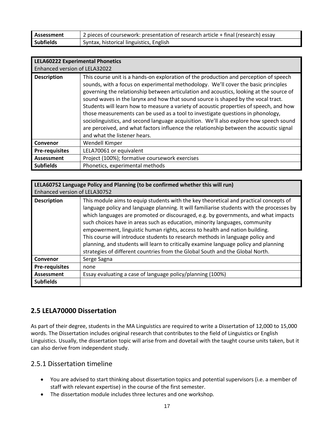| Assessment       | 2 pieces of coursework: presentation of research article + final (research) essay |
|------------------|-----------------------------------------------------------------------------------|
| <b>Subfields</b> | Syntax, historical linguistics, English                                           |

| <b>LELA60222 Experimental Phonetics</b><br>Enhanced version of LELA32022 |                                                                                                                                                                                                                                                                                                                                                                                                                                                                                                                                                                                                                                                                                                                                                              |  |  |
|--------------------------------------------------------------------------|--------------------------------------------------------------------------------------------------------------------------------------------------------------------------------------------------------------------------------------------------------------------------------------------------------------------------------------------------------------------------------------------------------------------------------------------------------------------------------------------------------------------------------------------------------------------------------------------------------------------------------------------------------------------------------------------------------------------------------------------------------------|--|--|
| <b>Description</b>                                                       | This course unit is a hands-on exploration of the production and perception of speech<br>sounds, with a focus on experimental methodology. We'll cover the basic principles<br>governing the relationship between articulation and acoustics, looking at the source of<br>sound waves in the larynx and how that sound source is shaped by the vocal tract.<br>Students will learn how to measure a variety of acoustic properties of speech, and how<br>those measurements can be used as a tool to investigate questions in phonology,<br>sociolinguistics, and second language acquisition. We'll also explore how speech sound<br>are perceived, and what factors influence the relationship between the acoustic signal<br>and what the listener hears. |  |  |
| Convenor                                                                 | Wendell Kimper                                                                                                                                                                                                                                                                                                                                                                                                                                                                                                                                                                                                                                                                                                                                               |  |  |
| <b>Pre-requisites</b>                                                    | LELA70061 or equivalent                                                                                                                                                                                                                                                                                                                                                                                                                                                                                                                                                                                                                                                                                                                                      |  |  |
| Assessment                                                               | Project (100%); formative coursework exercises                                                                                                                                                                                                                                                                                                                                                                                                                                                                                                                                                                                                                                                                                                               |  |  |
| <b>Subfields</b>                                                         | Phonetics, experimental methods                                                                                                                                                                                                                                                                                                                                                                                                                                                                                                                                                                                                                                                                                                                              |  |  |

| LELA60752 Language Policy and Planning (to be confirmed whether this will run)<br>Enhanced version of LELA30752 |                                                                                                                                                                                                                                                                                                                                                                                                                                                                                                                                                                                                                                                                                                   |  |  |
|-----------------------------------------------------------------------------------------------------------------|---------------------------------------------------------------------------------------------------------------------------------------------------------------------------------------------------------------------------------------------------------------------------------------------------------------------------------------------------------------------------------------------------------------------------------------------------------------------------------------------------------------------------------------------------------------------------------------------------------------------------------------------------------------------------------------------------|--|--|
| <b>Description</b>                                                                                              | This module aims to equip students with the key theoretical and practical concepts of<br>language policy and language planning. It will familiarise students with the processes by<br>which languages are promoted or discouraged, e.g. by governments, and what impacts<br>such choices have in areas such as education, minority languages, community<br>empowerment, linguistic human rights, access to health and nation building.<br>This course will introduce students to research methods in language policy and<br>planning, and students will learn to critically examine language policy and planning<br>strategies of different countries from the Global South and the Global North. |  |  |
| Convenor                                                                                                        | Serge Sagna                                                                                                                                                                                                                                                                                                                                                                                                                                                                                                                                                                                                                                                                                       |  |  |
| <b>Pre-requisites</b>                                                                                           | none                                                                                                                                                                                                                                                                                                                                                                                                                                                                                                                                                                                                                                                                                              |  |  |
| Assessment                                                                                                      | Essay evaluating a case of language policy/planning (100%)                                                                                                                                                                                                                                                                                                                                                                                                                                                                                                                                                                                                                                        |  |  |
| <b>Subfields</b>                                                                                                |                                                                                                                                                                                                                                                                                                                                                                                                                                                                                                                                                                                                                                                                                                   |  |  |

#### **2.5 LELA70000 Dissertation**

As part of their degree, students in the MA Linguistics are required to write a Dissertation of 12,000 to 15,000 words. The Dissertation includes original research that contributes to the field of Linguistics or English Linguistics. Usually, the dissertation topic will arise from and dovetail with the taught course units taken, but it can also derive from independent study.

#### 2.5.1 Dissertation timeline

- You are advised to start thinking about dissertation topics and potential supervisors (i.e. a member of staff with relevant expertise) in the course of the first semester.
- The dissertation module includes three lectures and one workshop.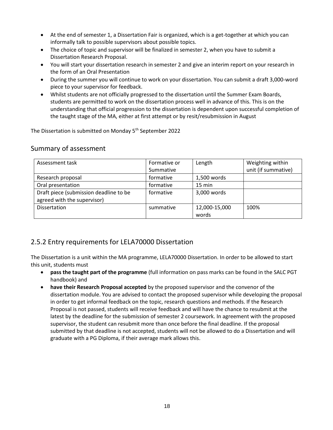- At the end of semester 1, a Dissertation Fair is organized, which is a get-together at which you can informally talk to possible supervisors about possible topics.
- The choice of topic and supervisor will be finalized in semester 2, when you have to submit a Dissertation Research Proposal.
- You will start your dissertation research in semester 2 and give an interim report on your research in the form of an Oral Presentation
- During the summer you will continue to work on your dissertation. You can submit a draft 3,000-word piece to your supervisor for feedback.
- Whilst students are not officially progressed to the dissertation until the Summer Exam Boards, students are permitted to work on the dissertation process well in advance of this. This is on the understanding that official progression to the dissertation is dependent upon successful completion of the taught stage of the MA, either at first attempt or by resit/resubmission in August

The Dissertation is submitted on Monday 5<sup>th</sup> September 2022

#### Summary of assessment

| Assessment task                        | Formative or | Length           | Weighting within    |
|----------------------------------------|--------------|------------------|---------------------|
|                                        | Summative    |                  | unit (if summative) |
| Research proposal                      | formative    | 1,500 words      |                     |
| Oral presentation                      | formative    | $15 \text{ min}$ |                     |
| Draft piece (submission deadline to be | formative    | 3,000 words      |                     |
| agreed with the supervisor)            |              |                  |                     |
| <b>Dissertation</b>                    | summative    | 12,000-15,000    | 100%                |
|                                        |              | words            |                     |

#### 2.5.2 Entry requirements for LELA70000 Dissertation

The Dissertation is a unit within the MA programme, LELA70000 Dissertation. In order to be allowed to start this unit, students must

- **pass the taught part of the programme** (full information on pass marks can be found in the SALC PGT handbook) and
- **have their Research Proposal accepted** by the proposed supervisor and the convenor of the dissertation module. You are advised to contact the proposed supervisor while developing the proposal in order to get informal feedback on the topic, research questions and methods. If the Research Proposal is not passed, students will receive feedback and will have the chance to resubmit at the latest by the deadline for the submission of semester 2 coursework. In agreement with the proposed supervisor, the student can resubmit more than once before the final deadline. If the proposal submitted by that deadline is not accepted, students will not be allowed to do a Dissertation and will graduate with a PG Diploma, if their average mark allows this.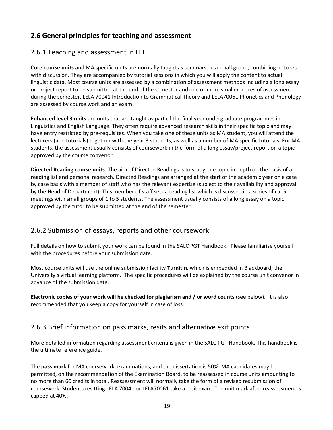#### **2.6 General principles for teaching and assessment**

#### 2.6.1 Teaching and assessment in LEL

**Core course units** and MA specific units are normally taught as seminars, in a small group, combining lectures with discussion. They are accompanied by tutorial sessions in which you will apply the content to actual linguistic data. Most course units are assessed by a combination of assessment methods including a long essay or project report to be submitted at the end of the semester and one or more smaller pieces of assessment during the semester. LELA 70041 Introduction to Grammatical Theory and LELA70061 Phonetics and Phonology are assessed by course work and an exam.

**Enhanced level 3 units** are units that are taught as part of the final year undergraduate programmes in Linguistics and English Language. They often require advanced research skills in their specific topic and may have entry restricted by pre-requisites. When you take one of these units as MA student, you will attend the lecturers (and tutorials) together with the year 3 students, as well as a number of MA specific tutorials. For MA students, the assessment usually consists of coursework in the form of a long essay/project report on a topic approved by the course convenor.

**Directed Reading course units.** The aim of Directed Readings is to study one topic in depth on the basis of a reading list and personal research. Directed Readings are arranged at the start of the academic year on a case by case basis with a member of staff who has the relevant expertise (subject to their availability and approval by the Head of Department). This member of staff sets a reading list which is discussed in a series of ca. 5 meetings with small groups of 1 to 5 students. The assessment usually consists of a long essay on a topic approved by the tutor to be submitted at the end of the semester.

#### 2.6.2 Submission of essays, reports and other coursework

Full details on how to submit your work can be found in the SALC PGT Handbook. Please familiarise yourself with the procedures before your submission date.

Most course units will use the online submission facility **Turnitin**, which is embedded in Blackboard, the University's virtual learning platform. The specific procedures will be explained by the course unit convenor in advance of the submission date.

**Electronic copies of your work will be checked for plagiarism and / or word counts** (see below). It is also recommended that you keep a copy for yourself in case of loss.

#### 2.6.3 Brief information on pass marks, resits and alternative exit points

More detailed information regarding assessment criteria is given in the SALC PGT Handbook. This handbook is the ultimate reference guide.

The **pass mark** for MA coursework, examinations, and the dissertation is 50%. MA candidates may be permitted, on the recommendation of the Examination Board, to be reassessed in course units amounting to no more than 60 credits in total. Reassessment will normally take the form of a revised resubmission of coursework. Students resitting LELA 70041 or LELA70061 take a resit exam. The unit mark after reassessment is capped at 40%.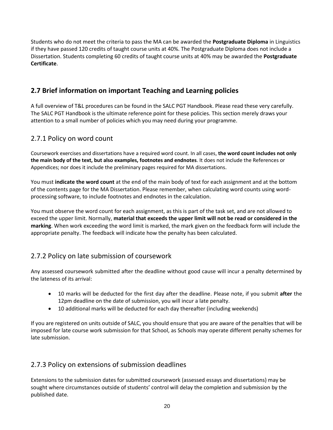Students who do not meet the criteria to pass the MA can be awarded the **Postgraduate Diploma** in Linguistics if they have passed 120 credits of taught course units at 40%. The Postgraduate Diploma does not include a Dissertation. Students completing 60 credits of taught course units at 40% may be awarded the **Postgraduate Certificate**.

#### **2.7 Brief information on important Teaching and Learning policies**

A full overview of T&L procedures can be found in the SALC PGT Handbook. Please read these very carefully. The SALC PGT Handbook is the ultimate reference point for these policies. This section merely draws your attention to a small number of policies which you may need during your programme.

#### 2.7.1 Policy on word count

Coursework exercises and dissertations have a required word count. In all cases, **the word count includes not only the main body of the text, but also examples, footnotes and endnotes**. It does not include the References or Appendices; nor does it include the preliminary pages required for MA dissertations.

You must **indicate the word count** at the end of the main body of text for each assignment and at the bottom of the contents page for the MA Dissertation. Please remember, when calculating word counts using wordprocessing software, to include footnotes and endnotes in the calculation.

You must observe the word count for each assignment, as this is part of the task set, and are not allowed to exceed the upper limit. Normally, **material that exceeds the upper limit will not be read or considered in the marking**. When work exceeding the word limit is marked, the mark given on the feedback form will include the appropriate penalty. The feedback will indicate how the penalty has been calculated.

#### 2.7.2 Policy on late submission of coursework

Any assessed coursework submitted after the deadline without good cause will incur a penalty determined by the lateness of its arrival:

- 10 marks will be deducted for the first day after the deadline. Please note, if you submit **after** the 12pm deadline on the date of submission, you will incur a late penalty.
- 10 additional marks will be deducted for each day thereafter (including weekends)

If you are registered on units outside of SALC, you should ensure that you are aware of the penalties that will be imposed for late course work submission for that School, as Schools may operate different penalty schemes for late submission.

#### 2.7.3 Policy on extensions of submission deadlines

Extensions to the submission dates for submitted coursework (assessed essays and dissertations) may be sought where circumstances outside of students' control will delay the completion and submission by the published date.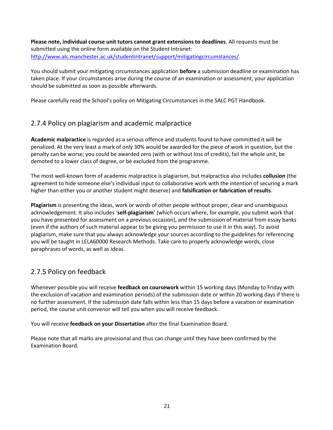**Please note, individual course unit tutors cannot grant extensions to deadlines**. All requests must be submitted using the online form available on the Student Intranet: [http://www.alc.manchester.ac.uk/studentintranet/support/mitigatingcircumstances](http://www.alc.manchester.ac.uk/studentintranet/support/mitigatingcircumstances/)/.

You should submit your mitigating circumstances application **before** a submission deadline or examination has taken place. If your circumstances arise during the course of an examination or assessment, your application should be submitted as soon as possible afterwards.

Please carefully read the School's policy on Mitigating Circumstances in the SALC PGT Handbook.

#### 2.7.4 Policy on plagiarism and academic malpractice

**Academic malpractice** is regarded as a serious offence and students found to have committed it will be penalized. At the very least a mark of only 30% would be awarded for the piece of work in question, but the penalty can be worse; you could be awarded zero (with or without loss of credits), fail the whole unit, be demoted to a lower class of degree, or be excluded from the programme.

The most well-known form of academic malpractice is plagiarism, but malpractice also includes **collusion** (the agreement to hide someone else's individual input to collaborative work with the intention of securing a mark higher than either you or another student might deserve) and **falsification or fabrication of results**.

**Plagiarism** is presenting the ideas, work or words of other people without proper, clear and unambiguous acknowledgement. It also includes '**self-plagiarism**' (which occurs where, for example, you submit work that you have presented for assessment on a previous occasion), and the submission of material from essay banks (even if the authors of such material appear to be giving you permission to use it in this way). To avoid plagiarism, make sure that you always acknowledge your sources according to the guidelines for referencing you will be taught in LELA60000 Research Methods. Take care to properly acknowledge words, close paraphrases of words, as well as ideas.

#### 2.7.5 Policy on feedback

Whenever possible you will receive **feedback on coursework** within 15 working days (Monday to Friday with the exclusion of vacation and examination periods) of the submission date or within 20 working days if there is no further assessment. If the submission date falls within less than 15 days before a vacation or examination period, the course unit convenor will tell you when you will receive feedback.

You will receive **feedback on your Dissertation** after the final Examination Board.

Please note that all marks are provisional and thus can change until they have been confirmed by the Examination Board.